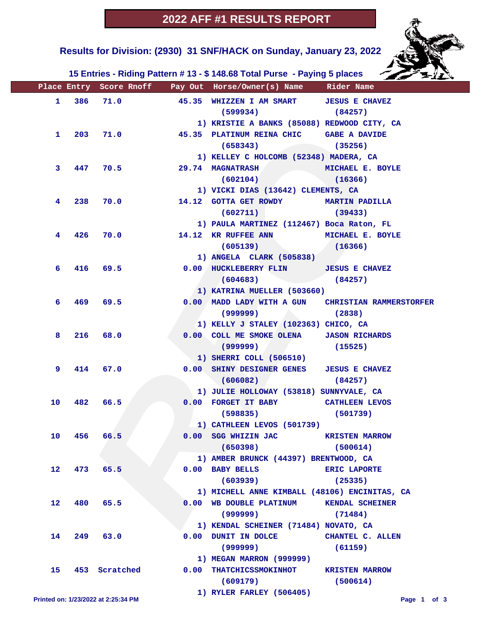

 **Results for Division: (2930) 31 SNF/HACK on Sunday, January 23, 2022** 

 **15 Entries - Riding Pattern # 13 - \$ 148.68 Total Purse - Paying 5 places**

|                   |  |                                     |            | Place Entry Score Rnoff Pay Out Horse/Owner(s) Name Rider Name                           |                         |
|-------------------|--|-------------------------------------|------------|------------------------------------------------------------------------------------------|-------------------------|
|                   |  | 1 386 71.0                          |            | 45.35 WHIZZEN I AM SMART JESUS E CHAVEZ                                                  |                         |
|                   |  |                                     |            | $(599934)$ $(84257)$                                                                     |                         |
|                   |  |                                     |            | 1) KRISTIE A BANKS (85088) REDWOOD CITY, CA                                              |                         |
|                   |  |                                     | 1 203 71.0 | 45.35 PLATINUM REINA CHIC GABE A DAVIDE                                                  |                         |
|                   |  |                                     |            | $(658343)$ (35256)                                                                       |                         |
|                   |  |                                     |            | 1) KELLEY C HOLCOMB (52348) MADERA, CA                                                   |                         |
| 3.                |  | 447 70.5                            |            | <b>29.74 MAGNATRASH</b>                                                                  | MICHAEL E. BOYLE        |
|                   |  |                                     |            | (602104)                                                                                 | (16366)                 |
|                   |  |                                     |            | 1) VICKI DIAS (13642) CLEMENTS, CA                                                       |                         |
| 4                 |  |                                     | 238 70.0   | 14.12 GOTTA GET ROWDY MARTIN PADILLA                                                     |                         |
|                   |  |                                     |            | $(602711)$ (39433)                                                                       |                         |
|                   |  |                                     |            | 1) PAULA MARTINEZ (112467) Boca Raton, FL                                                |                         |
| 4                 |  | 426 70.0                            |            | 14.12 KR RUFFEE ANN MICHAEL E. BOYLE                                                     |                         |
|                   |  |                                     |            | $(605139)$ (16366)                                                                       |                         |
|                   |  |                                     |            | 1) ANGELA CLARK (505838)                                                                 |                         |
| 6                 |  |                                     | 416 69.5   | 0.00 HUCKLEBERRY FLIN JESUS E CHAVEZ                                                     |                         |
|                   |  |                                     |            | $(604683)$ (84257)                                                                       |                         |
|                   |  |                                     |            | 1) KATRINA MUELLER (503660)                                                              |                         |
| 6.                |  | 469 69.5                            |            | 0.00 MADD LADY WITH A GUN CHRISTIAN RAMMERSTORFER                                        |                         |
|                   |  |                                     |            | (2838)                                                                                   |                         |
|                   |  |                                     |            | 1) KELLY J STALEY (102363) CHICO, CA                                                     |                         |
| 8                 |  | 216 68.0                            |            | 0.00 COLL ME SMOKE OLENA JASON RICHARDS                                                  |                         |
|                   |  |                                     |            | (999999)                                                                                 | (15525)                 |
|                   |  |                                     |            | 1) SHERRI COLL (506510)                                                                  |                         |
| 9.                |  | 414 67.0                            |            | 0.00 SHINY DESIGNER GENES JESUS E CHAVEZ                                                 |                         |
|                   |  |                                     |            | (606082)                                                                                 | (84257)                 |
|                   |  |                                     |            | 1) JULIE HOLLOWAY (53818) SUNNYVALE, CA                                                  |                         |
| 10                |  | 482 66.5                            |            | 0.00 FORGET IT BABY CATHLEEN LEVOS                                                       |                         |
|                   |  |                                     |            | $(598835)$ (501739)                                                                      |                         |
|                   |  |                                     |            | 1) CATHLEEN LEVOS (501739)                                                               |                         |
|                   |  | 10 456 66.5                         |            | 0.00 SGG WHIZIN JAC KRISTEN MARROW                                                       |                         |
|                   |  |                                     |            | (650398)                                                                                 | (500614)                |
|                   |  |                                     |            | 1) AMBER BRUNCK (44397) BRENTWOOD, CA                                                    |                         |
| 12 <sub>2</sub>   |  | 473 65.5                            |            | $0.00$ BABY BELLS                                                                        | <b>ERIC LAPORTE</b>     |
|                   |  |                                     |            | (603939)                                                                                 | (25335)                 |
| $12 \overline{ }$ |  | 480 65.5                            |            | 1) MICHELL ANNE KIMBALL (48106) ENCINITAS, CA<br>0.00 WB DOUBLE PLATINUM KENDAL SCHEINER |                         |
|                   |  |                                     |            |                                                                                          |                         |
|                   |  |                                     |            | (999999)                                                                                 | (71484)                 |
| 14                |  |                                     |            | 1) KENDAL SCHEINER (71484) NOVATO, CA<br>0.00 DUNIT IN DOLCE                             | <b>CHANTEL C. ALLEN</b> |
|                   |  | 249 63.0                            |            | (999999)                                                                                 | (61159)                 |
|                   |  |                                     |            | 1) MEGAN MARRON (999999)                                                                 |                         |
| 15                |  | 453 Scratched                       |            | 0.00 THATCHICSSMOKINHOT KRISTEN MARROW                                                   |                         |
|                   |  |                                     |            | (609179)                                                                                 | (500614)                |
|                   |  |                                     |            | 1) RYLER FARLEY (506405)                                                                 |                         |
|                   |  | Printed on: 1/23/2022 at 2:25:34 PM |            |                                                                                          | Page 1 of 3             |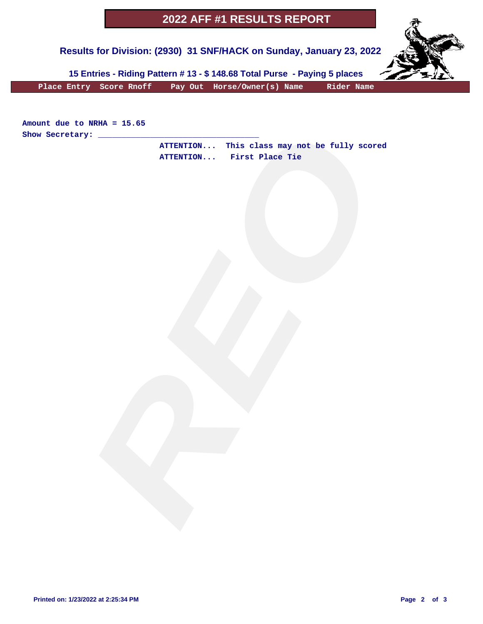## **2022 AFF #1 RESULTS REPORT**

 **Results for Division: (2930) 31 SNF/HACK on Sunday, January 23, 2022** 



 **15 Entries - Riding Pattern # 13 - \$ 148.68 Total Purse - Paying 5 places**

 **Place Entry Score Rnoff Pay Out Horse/Owner(s) Name Rider Name**

**Amount due to NRHA = 15.65 Show Secretary: \_\_\_\_\_\_\_\_\_\_\_\_\_\_\_\_\_\_\_\_\_\_\_\_\_\_\_\_\_\_\_\_\_\_**

ARMA - 15.65<br>
ATTENTION... This class may not be fully scored<br>
ATTENTION... First Place Tie  **ATTENTION... This class may not be fully scored ATTENTION... First Place Tie**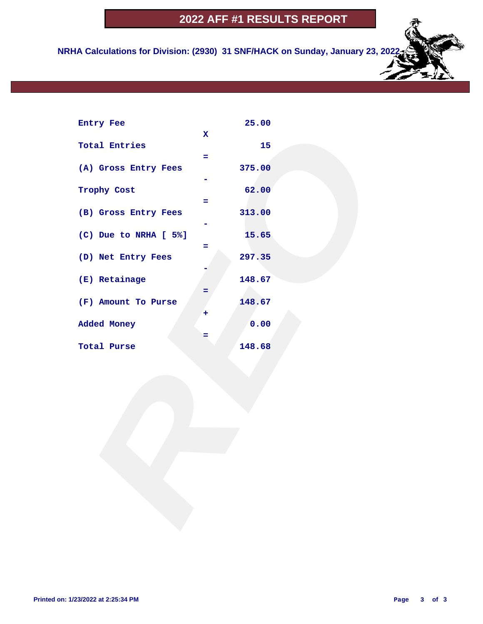## **2022 AFF #1 RESULTS REPORT**

 **NRHA Calculations for Division: (2930) 31 SNF/HACK on Sunday, January 23, 2022**

| Entry Fee             |              | 25.00  |  |
|-----------------------|--------------|--------|--|
|                       | $\mathbf{x}$ |        |  |
| <b>Total Entries</b>  | $=$          | 15     |  |
| (A) Gross Entry Fees  |              | 375.00 |  |
|                       |              |        |  |
| Trophy Cost           |              | 62.00  |  |
|                       | $=$          |        |  |
| (B) Gross Entry Fees  |              | 313.00 |  |
| (C) Due to NRHA [ 5%] |              | 15.65  |  |
|                       | Ξ            |        |  |
| (D) Net Entry Fees    |              | 297.35 |  |
|                       |              |        |  |
| (E) Retainage         |              | 148.67 |  |
|                       | Ξ            |        |  |
| (F) Amount To Purse   | ٠            | 148.67 |  |
| Added Money           |              | 0.00   |  |
|                       | =            |        |  |
| Total Purse           |              | 148.68 |  |
|                       |              |        |  |
|                       |              |        |  |
|                       |              |        |  |
|                       |              |        |  |
|                       |              |        |  |
|                       |              |        |  |
|                       |              |        |  |
|                       |              |        |  |
|                       |              |        |  |
|                       |              |        |  |
|                       |              |        |  |
|                       |              |        |  |
|                       |              |        |  |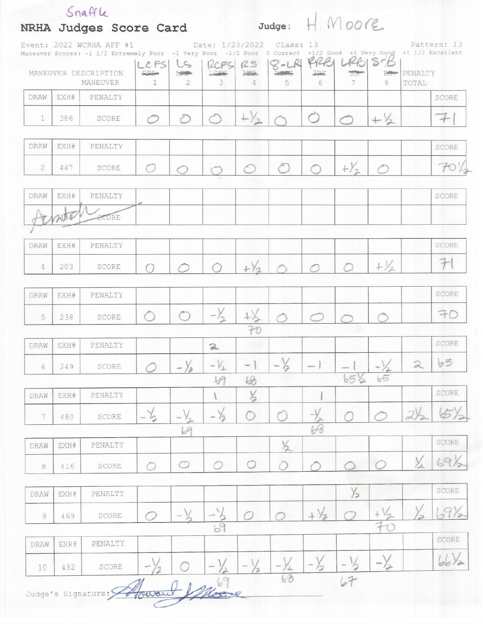|                |      | Event: 2022 WCRHA AFF #1<br>Maneuver Scores: -1 1/2 Extremely Poor -1 Very Poor -1/2 Poor |                         |                        | Date: 1/23/2022          |                          | Class: 13      | 0 Correct +1/2 Good +1 Very Good +1 1/2 Excellent |                    |                              |                  | Pattern: 13 |
|----------------|------|-------------------------------------------------------------------------------------------|-------------------------|------------------------|--------------------------|--------------------------|----------------|---------------------------------------------------|--------------------|------------------------------|------------------|-------------|
|                |      | MANEUVER DESCRIPTION<br>MANEUVER                                                          | LCFS<br><b>PPP</b><br>1 | LS<br><b>LRB-</b><br>2 | RCFS<br>LOBS<br>3.       | RS<br>$3 - 2$<br>4       | $8 - LR$<br>5  | RRA<br>3P <sub>S</sub><br>6                       | L2B<br>$55 -$<br>7 | $S^cB$<br><b>Bellen</b><br>8 | PENALTY<br>TOTAL |             |
| DRAW           | EXH# | PENALTY                                                                                   |                         |                        |                          |                          |                |                                                   |                    |                              |                  | SCORE       |
| 1              | 386  | SCORE                                                                                     |                         | Ē                      |                          | $+\frac{1}{2}$           |                | $\bigcirc$                                        | $\curvearrowright$ | $+32$                        |                  | $^{+}$      |
| DRAW           | EXH# | PENALTY                                                                                   |                         |                        |                          |                          |                |                                                   |                    |                              |                  | SCORE       |
| $\overline{2}$ | 447  | SCORE                                                                                     |                         | $\subset$              |                          |                          | $\epsilon$     |                                                   | $+Y_2$             |                              |                  | 70          |
| DRAW           | EXH# | PENALTY                                                                                   |                         |                        |                          |                          |                |                                                   |                    |                              |                  | SCORE       |
|                |      | <b>SCORE</b>                                                                              |                         |                        |                          |                          |                |                                                   |                    |                              |                  |             |
| DRAW           | EXH# | PENALTY                                                                                   |                         |                        |                          |                          |                |                                                   |                    |                              |                  | SCORE       |
| 4              | 203  | SCORE                                                                                     |                         |                        |                          | $+\sqrt{2}$              |                | $\bigcirc$                                        | $\bigcap$          | $+\frac{1}{2}$               |                  | $\bm{\mp}$  |
| DRAW           | EXH# | PENALTY                                                                                   |                         |                        |                          |                          |                |                                                   |                    |                              |                  | SCORE       |
| 5              | 238  | SCORE                                                                                     |                         | $\bigcirc$             | $-\frac{1}{2}$           | $+\frac{1}{2}$           | $\triangle$    | $\curvearrowleft$                                 |                    |                              |                  | 70          |
| DRAW           | EXH# | PENALTY                                                                                   |                         |                        |                          | 70                       |                |                                                   |                    |                              |                  | SCORE       |
|                | 249  | SCORE                                                                                     |                         |                        | $\mathfrak{D}$<br>$-V_1$ | $\overline{\phantom{a}}$ | $-\frac{1}{2}$ |                                                   |                    |                              | $\mathfrak{D}$   | b3          |
| 6              |      |                                                                                           |                         |                        | 69                       | 68                       |                |                                                   | $65\frac{1}{2}$    | 65                           |                  |             |
| DRAW           | EXH# | PENALTY                                                                                   |                         |                        |                          | $\frac{1}{2}$            |                |                                                   |                    |                              |                  | SCORE       |
| 7              | 480  | SCORE                                                                                     | $-\frac{1}{2}$          | $-\gamma$              | $-\frac{1}{2}$           |                          | Ò              | $-\frac{1}{2}$                                    |                    |                              | 2)               |             |
| DRAW           | EXH# | PENALTY                                                                                   |                         | 69                     |                          |                          | $\frac{1}{2}$  | 68                                                |                    |                              |                  | SCORE       |
| 8              | 416  | SCORE                                                                                     | ∩                       | O                      | $\bigcirc$               | $\bigcirc$               |                |                                                   |                    |                              | $\times$         | 696         |
| DRAW           | EXH# | PENALTY                                                                                   |                         |                        |                          |                          |                |                                                   | $\frac{1}{2}$      |                              |                  | SCORE       |
| 9              | 469  | SCORE                                                                                     |                         |                        |                          |                          |                | $\frac{1}{2}$                                     |                    |                              |                  | 69%         |
| DRAW           | EXH# | PENALTY                                                                                   |                         |                        | 69                       |                          |                |                                                   |                    |                              |                  | SCORE       |
| 10             | 482  | SCORE                                                                                     |                         |                        |                          |                          |                | $-\gamma_{2}$                                     |                    | $ \rangle$                   |                  | $bbV_2$     |